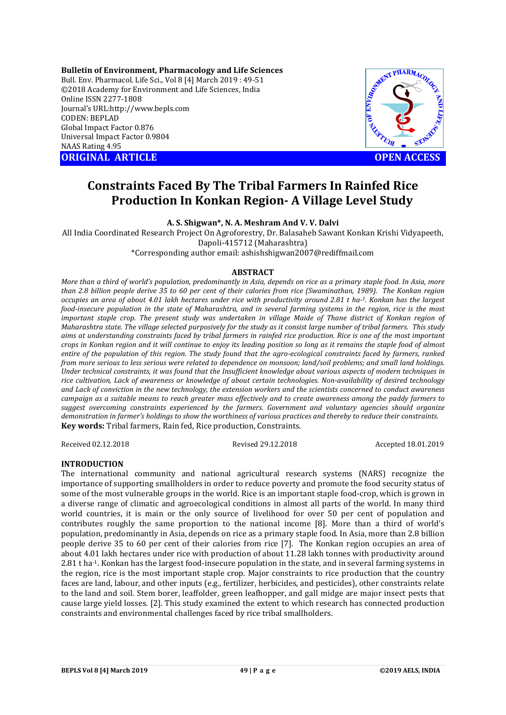**Bulletin of Environment, Pharmacology and Life Sciences** Bull. Env. Pharmacol. Life Sci., Vol 8 [4] March 2019 : 49-51 ©2018 Academy for Environment and Life Sciences, India Online ISSN 2277-1808 Journal's URL:http://www.bepls.com CODEN: BEPLAD Global Impact Factor 0.876 Universal Impact Factor 0.9804 NAAS Rating 4.95 **ORIGINAL ARTICLE OPEN ACCESS** 

MENT PHARMACOLOR

# **Constraints Faced By The Tribal Farmers In Rainfed Rice Production In Konkan Region- A Village Level Study**

**A. S. Shigwan\*, N. A. Meshram And V. V. Dalvi** 

All India Coordinated Research Project On Agroforestry, Dr. Balasaheb Sawant Konkan Krishi Vidyapeeth, Dapoli-415712 (Maharashtra)

\*Corresponding author email: ashishshigwan2007@rediffmail.com

# **ABSTRACT**

*More than a third of world's population, predominantly in Asia, depends on rice as a primary staple food. In Asia, more than 2.8 billion people derive 35 to 60 per cent of their calories from rice (Swaminathan, 1989). The Konkan region occupies an area of about 4.01 lakh hectares under rice with productivity around 2.81 t ha-1. Konkan has the largest food-insecure population in the state of Maharashtra, and in several farming systems in the region, rice is the most important staple crop. The present study was undertaken in village Maide of Thane district of Konkan region of Maharashtra state. The village selected purposively for the study as it consist large number of tribal farmers. This study aims at understanding constraints faced by tribal farmers in rainfed rice production. Rice is one of the most important crops in Konkan region and it will continue to enjoy its leading position so long as it remains the staple food of almost entire of the population of this region. The study found that the agro-ecological constraints faced by farmers, ranked from more serious to less serious were related to dependence on monsoon; land/soil problems; and small land holdings. Under technical constraints, it was found that the Insufficient knowledge about various aspects of modern techniques in rice cultivation, Lack of awareness or knowledge of about certain technologies. Non-availability of desired technology and Lack of conviction in the new technology, the extension workers and the scientists concerned to conduct awareness campaign as a suitable means to reach greater mass effectively and to create awareness among the paddy farmers to suggest overcoming constraints experienced by the farmers. Government and voluntary agencies should organize demonstration in farmer's holdings to show the worthiness of various practices and thereby to reduce their constraints.* **Key words:** Tribal farmers, Rain fed, Rice production, Constraints.

Received 02.12.2018 Revised 29.12.2018 Accepted 18.01.2019

# **INTRODUCTION**

The international community and national agricultural research systems (NARS) recognize the importance of supporting smallholders in order to reduce poverty and promote the food security status of some of the most vulnerable groups in the world. Rice is an important staple food-crop, which is grown in a diverse range of climatic and agroecological conditions in almost all parts of the world. In many third world countries, it is main or the only source of livelihood for over 50 per cent of population and contributes roughly the same proportion to the national income [8]. More than a third of world's population, predominantly in Asia, depends on rice as a primary staple food. In Asia, more than 2.8 billion people derive 35 to 60 per cent of their calories from rice [7]. The Konkan region occupies an area of about 4.01 lakh hectares under rice with production of about 11.28 lakh tonnes with productivity around 2.81 t ha-1. Konkan has the largest food-insecure population in the state, and in several farming systems in the region, rice is the most important staple crop. Major constraints to rice production that the country faces are land, labour, and other inputs (e.g., fertilizer, herbicides, and pesticides), other constraints relate to the land and soil. Stem borer, leaffolder, green leafhopper, and gall midge are major insect pests that cause large yield losses. [2]. This study examined the extent to which research has connected production constraints and environmental challenges faced by rice tribal smallholders.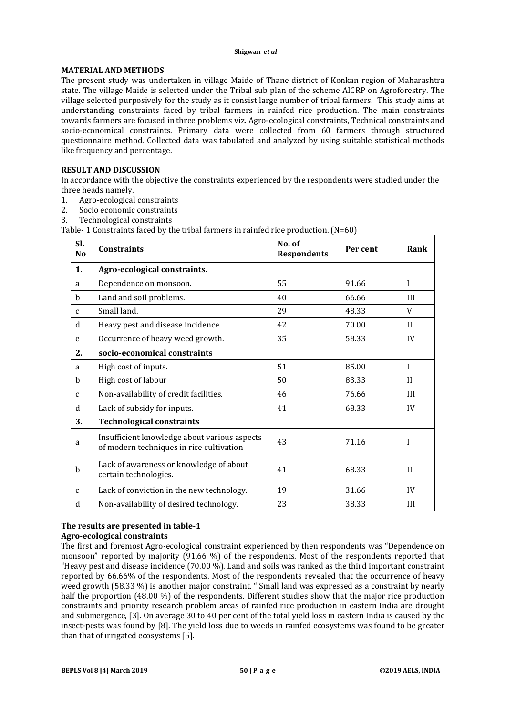#### **Shigwan** *et al*

# **MATERIAL AND METHODS**

The present study was undertaken in village Maide of Thane district of Konkan region of Maharashtra state. The village Maide is selected under the Tribal sub plan of the scheme AICRP on Agroforestry. The village selected purposively for the study as it consist large number of tribal farmers. This study aims at understanding constraints faced by tribal farmers in rainfed rice production. The main constraints towards farmers are focused in three problems viz. Agro-ecological constraints, Technical constraints and socio-economical constraints. Primary data were collected from 60 farmers through structured questionnaire method. Collected data was tabulated and analyzed by using suitable statistical methods like frequency and percentage.

# **RESULT AND DISCUSSION**

In accordance with the objective the constraints experienced by the respondents were studied under the three heads namely.

- 1. Agro-ecological constraints
- 2. Socio economic constraints
- 3. Technological constraints

Table- 1 Constraints faced by the tribal farmers in rainfed rice production. (N=60)

| Sl.<br>N <sub>0</sub> | <b>Constraints</b>                                                                       | No. of<br><b>Respondents</b> | Per cent | Rank         |
|-----------------------|------------------------------------------------------------------------------------------|------------------------------|----------|--------------|
| 1.                    | Agro-ecological constraints.                                                             |                              |          |              |
| a                     | Dependence on monsoon.                                                                   | 55                           | 91.66    | I            |
| b                     | Land and soil problems.                                                                  | 40                           | 66.66    | III          |
| $\mathbf{C}$          | Small land.                                                                              | 29                           | 48.33    | V            |
| d                     | Heavy pest and disease incidence.                                                        | 42                           | 70.00    | $\mathbf{H}$ |
| e                     | Occurrence of heavy weed growth.                                                         | 35                           | 58.33    | IV           |
| 2.                    | socio-economical constraints                                                             |                              |          |              |
| a                     | High cost of inputs.                                                                     | 51                           | 85.00    | I            |
| $\mathbf b$           | High cost of labour                                                                      | 50                           | 83.33    | $\mathbf{H}$ |
| $\mathbf{C}$          | Non-availability of credit facilities.                                                   | 46                           | 76.66    | III          |
| $\mathbf d$           | Lack of subsidy for inputs.                                                              | 41                           | 68.33    | IV           |
| 3.                    | <b>Technological constraints</b>                                                         |                              |          |              |
| a                     | Insufficient knowledge about various aspects<br>of modern techniques in rice cultivation | 43                           | 71.16    | I            |
| $\mathbf b$           | Lack of awareness or knowledge of about<br>certain technologies.                         | 41                           | 68.33    | $\mathbf{H}$ |
| $\mathbf{C}$          | Lack of conviction in the new technology.                                                | 19                           | 31.66    | IV           |
| d                     | Non-availability of desired technology.                                                  | 23                           | 38.33    | III          |

### **The results are presented in table-1 Agro-ecological constraints**

The first and foremost Agro-ecological constraint experienced by then respondents was "Dependence on monsoon" reported by majority (91.66 %) of the respondents. Most of the respondents reported that "Heavy pest and disease incidence (70.00 %). Land and soils was ranked as the third important constraint reported by 66.66% of the respondents. Most of the respondents revealed that the occurrence of heavy weed growth (58.33 %) is another major constraint. " Small land was expressed as a constraint by nearly half the proportion (48.00 %) of the respondents. Different studies show that the major rice production constraints and priority research problem areas of rainfed rice production in eastern India are drought and submergence, [3]. On average 30 to 40 per cent of the total yield loss in eastern India is caused by the insect-pests was found by [8]. The yield loss due to weeds in rainfed ecosystems was found to be greater than that of irrigated ecosystems [5].